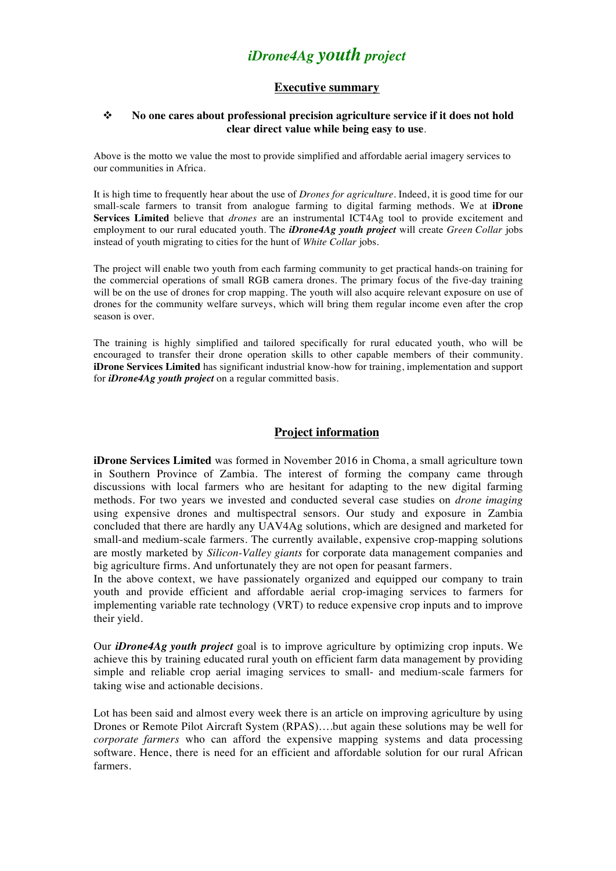# *iDrone4Ag youth project*

# **Executive summary**

### **→** No one cares about professional precision agriculture service if it does not hold **clear direct value while being easy to use**.

Above is the motto we value the most to provide simplified and affordable aerial imagery services to our communities in Africa.

It is high time to frequently hear about the use of *Drones for agriculture*. Indeed, it is good time for our small-scale farmers to transit from analogue farming to digital farming methods. We at **iDrone Services Limited** believe that *drones* are an instrumental ICT4Ag tool to provide excitement and employment to our rural educated youth. The *iDrone4Ag youth project* will create *Green Collar* jobs instead of youth migrating to cities for the hunt of *White Collar* jobs.

The project will enable two youth from each farming community to get practical hands-on training for the commercial operations of small RGB camera drones. The primary focus of the five-day training will be on the use of drones for crop mapping. The youth will also acquire relevant exposure on use of drones for the community welfare surveys, which will bring them regular income even after the crop season is over.

The training is highly simplified and tailored specifically for rural educated youth, who will be encouraged to transfer their drone operation skills to other capable members of their community. **iDrone Services Limited** has significant industrial know-how for training, implementation and support for *iDrone4Ag youth project* on a regular committed basis.

# **Project information**

**iDrone Services Limited** was formed in November 2016 in Choma, a small agriculture town in Southern Province of Zambia. The interest of forming the company came through discussions with local farmers who are hesitant for adapting to the new digital farming methods. For two years we invested and conducted several case studies on *drone imaging* using expensive drones and multispectral sensors. Our study and exposure in Zambia concluded that there are hardly any UAV4Ag solutions, which are designed and marketed for small-and medium-scale farmers. The currently available, expensive crop-mapping solutions are mostly marketed by *Silicon-Valley giants* for corporate data management companies and big agriculture firms. And unfortunately they are not open for peasant farmers.

In the above context, we have passionately organized and equipped our company to train youth and provide efficient and affordable aerial crop-imaging services to farmers for implementing variable rate technology (VRT) to reduce expensive crop inputs and to improve their yield.

Our *iDrone4Ag youth project* goal is to improve agriculture by optimizing crop inputs. We achieve this by training educated rural youth on efficient farm data management by providing simple and reliable crop aerial imaging services to small- and medium-scale farmers for taking wise and actionable decisions.

Lot has been said and almost every week there is an article on improving agriculture by using Drones or Remote Pilot Aircraft System (RPAS)….but again these solutions may be well for *corporate farmers* who can afford the expensive mapping systems and data processing software. Hence, there is need for an efficient and affordable solution for our rural African farmers.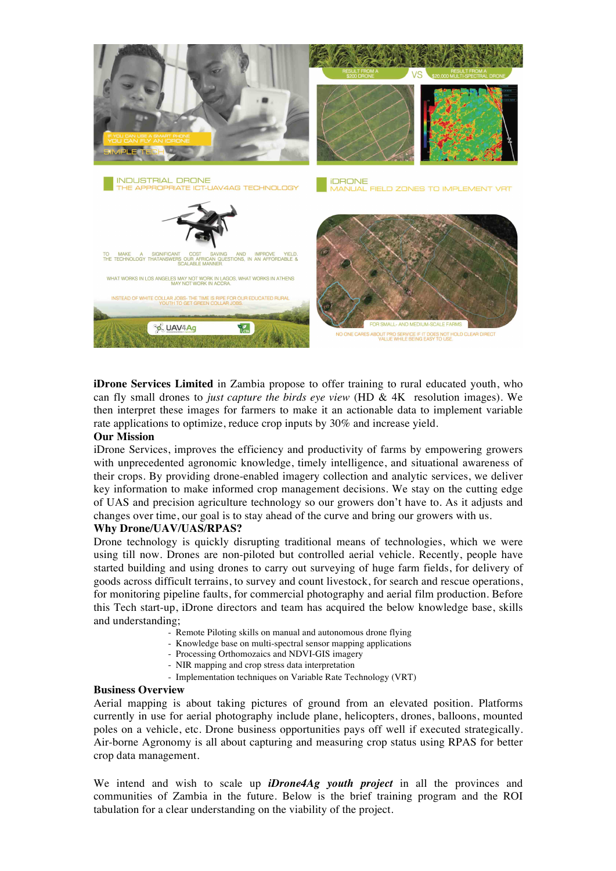

**iDrone Services Limited** in Zambia propose to offer training to rural educated youth, who can fly small drones to *just capture the birds eye view* (HD & 4K resolution images). We then interpret these images for farmers to make it an actionable data to implement variable rate applications to optimize, reduce crop inputs by 30% and increase yield.

## **Our Mission**

iDrone Services, improves the efficiency and productivity of farms by empowering growers with unprecedented agronomic knowledge, timely intelligence, and situational awareness of their crops. By providing drone-enabled imagery collection and analytic services, we deliver key information to make informed crop management decisions. We stay on the cutting edge of UAS and precision agriculture technology so our growers don't have to. As it adjusts and changes over time, our goal is to stay ahead of the curve and bring our growers with us.

## **Why Drone/UAV/UAS/RPAS?**

Drone technology is quickly disrupting traditional means of technologies, which we were using till now. Drones are non-piloted but controlled aerial vehicle. Recently, people have started building and using drones to carry out surveying of huge farm fields, for delivery of goods across difficult terrains, to survey and count livestock, for search and rescue operations, for monitoring pipeline faults, for commercial photography and aerial film production. Before this Tech start-up, iDrone directors and team has acquired the below knowledge base, skills and understanding;

- Remote Piloting skills on manual and autonomous drone flying
- Knowledge base on multi-spectral sensor mapping applications
- Processing Orthomozaics and NDVI-GIS imagery
- NIR mapping and crop stress data interpretation
- Implementation techniques on Variable Rate Technology (VRT)

#### **Business Overview**

Aerial mapping is about taking pictures of ground from an elevated position. Platforms currently in use for aerial photography include plane, helicopters, drones, balloons, mounted poles on a vehicle, etc. Drone business opportunities pays off well if executed strategically. Air-borne Agronomy is all about capturing and measuring crop status using RPAS for better crop data management.

We intend and wish to scale up *iDrone4Ag youth project* in all the provinces and communities of Zambia in the future. Below is the brief training program and the ROI tabulation for a clear understanding on the viability of the project.